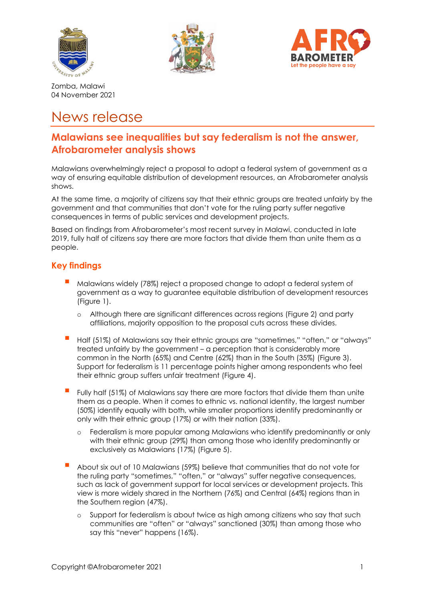





Zomba, Malawi 04 November 2021

# News release

# **Malawians see inequalities but say federalism is not the answer, Afrobarometer analysis shows**

Malawians overwhelmingly reject a proposal to adopt a federal system of government as a way of ensuring equitable distribution of development resources, an Afrobarometer analysis shows.

At the same time, a majority of citizens say that their ethnic groups are treated unfairly by the government and that communities that don't vote for the ruling party suffer negative consequences in terms of public services and development projects.

Based on findings from Afrobarometer's most recent survey in Malawi, conducted in late 2019, fully half of citizens say there are more factors that divide them than unite them as a people.

## **Key findings**

- Malawians widely (78%) reject a proposed change to adopt a federal system of government as a way to guarantee equitable distribution of development resources (Figure 1).
	- o Although there are significant differences across regions (Figure 2) and party affiliations, majority opposition to the proposal cuts across these divides.
- Half (51%) of Malawians say their ethnic groups are "sometimes," "often," or "always" treated unfairly by the government – a perception that is considerably more common in the North (65%) and Centre (62%) than in the South (35%) (Figure 3). Support for federalism is 11 percentage points higher among respondents who feel their ethnic group suffers unfair treatment (Figure 4).
- Fully half (51%) of Malawians say there are more factors that divide them than unite them as a people. When it comes to ethnic vs. national identity, the largest number (50%) identify equally with both, while smaller proportions identify predominantly or only with their ethnic group (17%) or with their nation (33%).
	- o Federalism is more popular among Malawians who identify predominantly or only with their ethnic group (29%) than among those who identify predominantly or exclusively as Malawians (17%) (Figure 5).
- About six out of 10 Malawians (59%) believe that communities that do not vote for the ruling party "sometimes," "often," or "always" suffer negative consequences, such as lack of government support for local services or development projects. This view is more widely shared in the Northern (76%) and Central (64%) regions than in the Southern region (47%).
	- o Support for federalism is about twice as high among citizens who say that such communities are "often" or "always" sanctioned (30%) than among those who say this "never" happens (16%).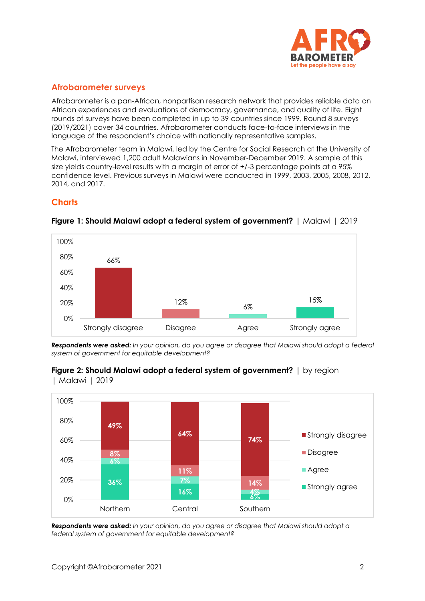

## **Afrobarometer surveys**

Afrobarometer is a pan-African, nonpartisan research network that provides reliable data on African experiences and evaluations of democracy, governance, and quality of life. Eight rounds of surveys have been completed in up to 39 countries since 1999. Round 8 surveys (2019/2021) cover 34 countries. Afrobarometer conducts face-to-face interviews in the language of the respondent's choice with nationally representative samples.

The Afrobarometer team in Malawi, led by the Centre for Social Research at the University of Malawi, interviewed 1,200 adult Malawians in November-December 2019. A sample of this size yields country-level results with a margin of error of +/-3 percentage points at a 95% confidence level. Previous surveys in Malawi were conducted in 1999, 2003, 2005, 2008, 2012, 2014, and 2017.

## **Charts**



### **Figure 1: Should Malawi adopt a federal system of government?** | Malawi | 2019

*Respondents were asked: In your opinion, do you agree or disagree that Malawi should adopt a federal system of government for equitable development?* 





*Respondents were asked: In your opinion, do you agree or disagree that Malawi should adopt a federal system of government for equitable development?*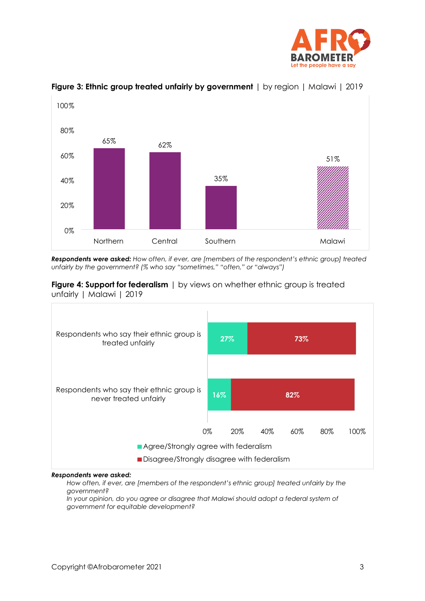



#### **Figure 3: Ethnic group treated unfairly by government** | by region | Malawi | 2019

*Respondents were asked: How often, if ever, are [members of the respondent's ethnic group] treated unfairly by the government? (% who say "sometimes," "often," or "always")* 

**Figure 4: Support for federalism** | by views on whether ethnic group is treated unfairly | Malawi | 2019



#### *Respondents were asked:*

*How often, if ever, are [members of the respondent's ethnic group] treated unfairly by the government?* 

*In your opinion, do you agree or disagree that Malawi should adopt a federal system of government for equitable development?*